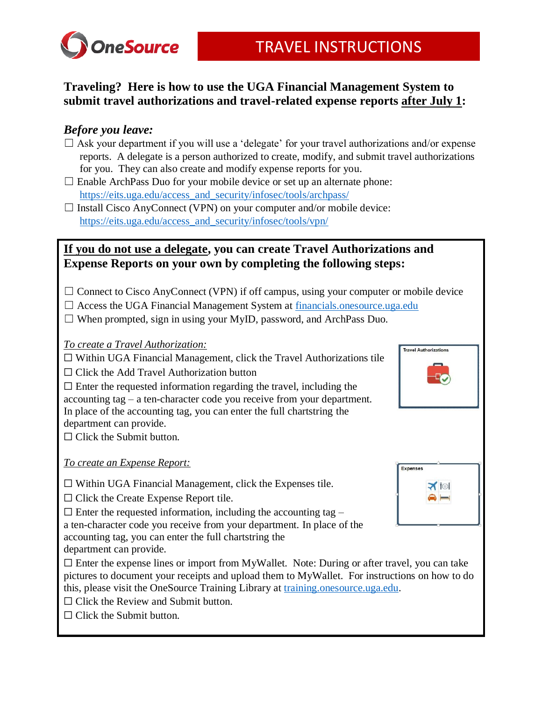

## **Traveling? Here is how to use the UGA Financial Management System to submit travel authorizations and travel-related expense reports after July 1:**

## *Before you leave:*

- $\Box$  Ask your department if you will use a 'delegate' for your travel authorizations and/or expense reports. A delegate is a person authorized to create, modify, and submit travel authorizations for you. They can also create and modify expense reports for you.
- $\Box$  Enable ArchPass Duo for your mobile device or set up an alternate phone: [https://eits.uga.edu/access\\_and\\_security/infosec/tools/archpass/](https://eits.uga.edu/access_and_security/infosec/tools/archpass/)
- $\Box$  Install Cisco AnyConnect (VPN) on your computer and/or mobile device: [https://eits.uga.edu/access\\_and\\_security/infosec/tools/vpn/](https://eits.uga.edu/access_and_security/infosec/tools/vpn/)

## **If you do not use a delegate, you can create Travel Authorizations and Expense Reports on your own by completing the following steps:**

- $\Box$  Connect to Cisco AnyConnect (VPN) if off campus, using your computer or mobile device
- $\Box$  Access the UGA Financial Management System at [financials.onesource.uga.edu](file:///C:/Users/dnic2/AppData/Local/Microsoft/Windows/INetCache/Content.Outlook/4CJS1E8P/financials.onesource.uga.edu)
- $\Box$  When prompted, sign in using your MyID, password, and ArchPass Duo.
- *To create a Travel Authorization:*

☐ Within UGA Financial Management, click the Travel Authorizations tile

 $\Box$  Click the Add Travel Authorization button

 $\Box$  Enter the requested information regarding the travel, including the accounting tag – a ten-character code you receive from your department. In place of the accounting tag, you can enter the full chartstring the department can provide.

 $\Box$  Click the Submit button.

### *To create an Expense Report:*

 $\Box$  Within UGA Financial Management, click the Expenses tile.

☐ Click the Create Expense Report tile.

 $\Box$  Enter the requested information, including the accounting tag –

a ten-character code you receive from your department. In place of the

- accounting tag, you can enter the full chartstring the
- department can provide.
- $\Box$  Enter the expense lines or import from MyWallet. Note: During or after travel, you can take pictures to document your receipts and upload them to MyWallet. For instructions on how to do this, please visit the OneSource Training Library at [training.onesource.uga.edu.](training.onesource.uga.edu)
- $\Box$  Click the Review and Submit button.
- $\Box$  Click the Submit button.